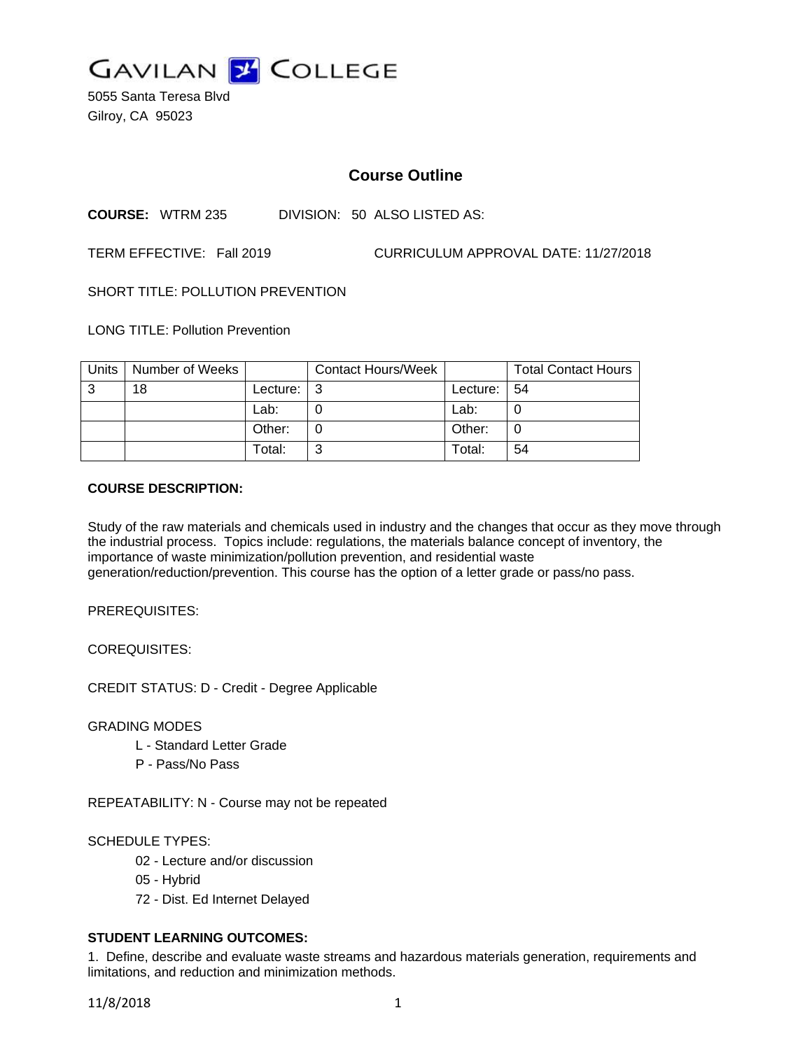

5055 Santa Teresa Blvd Gilroy, CA 95023

# **Course Outline**

**COURSE:** WTRM 235 DIVISION: 50 ALSO LISTED AS:

TERM EFFECTIVE: Fall 2019 CURRICULUM APPROVAL DATE: 11/27/2018

SHORT TITLE: POLLUTION PREVENTION

LONG TITLE: Pollution Prevention

| Units | Number of Weeks |            | <b>Contact Hours/Week</b> |          | <b>Total Contact Hours</b> |
|-------|-----------------|------------|---------------------------|----------|----------------------------|
| 3     | 18              | Lecture: I | - 3                       | Lecture: | -54                        |
|       |                 | Lab:       |                           | Lab:     |                            |
|       |                 | Other:     |                           | Other:   |                            |
|       |                 | Total:     | ົ                         | Total:   | 54                         |

## **COURSE DESCRIPTION:**

Study of the raw materials and chemicals used in industry and the changes that occur as they move through the industrial process. Topics include: regulations, the materials balance concept of inventory, the importance of waste minimization/pollution prevention, and residential waste generation/reduction/prevention. This course has the option of a letter grade or pass/no pass.

PREREQUISITES:

COREQUISITES:

CREDIT STATUS: D - Credit - Degree Applicable

GRADING MODES

- L Standard Letter Grade
- P Pass/No Pass

REPEATABILITY: N - Course may not be repeated

#### SCHEDULE TYPES:

- 02 Lecture and/or discussion
- 05 Hybrid
- 72 Dist. Ed Internet Delayed

## **STUDENT LEARNING OUTCOMES:**

1. Define, describe and evaluate waste streams and hazardous materials generation, requirements and limitations, and reduction and minimization methods.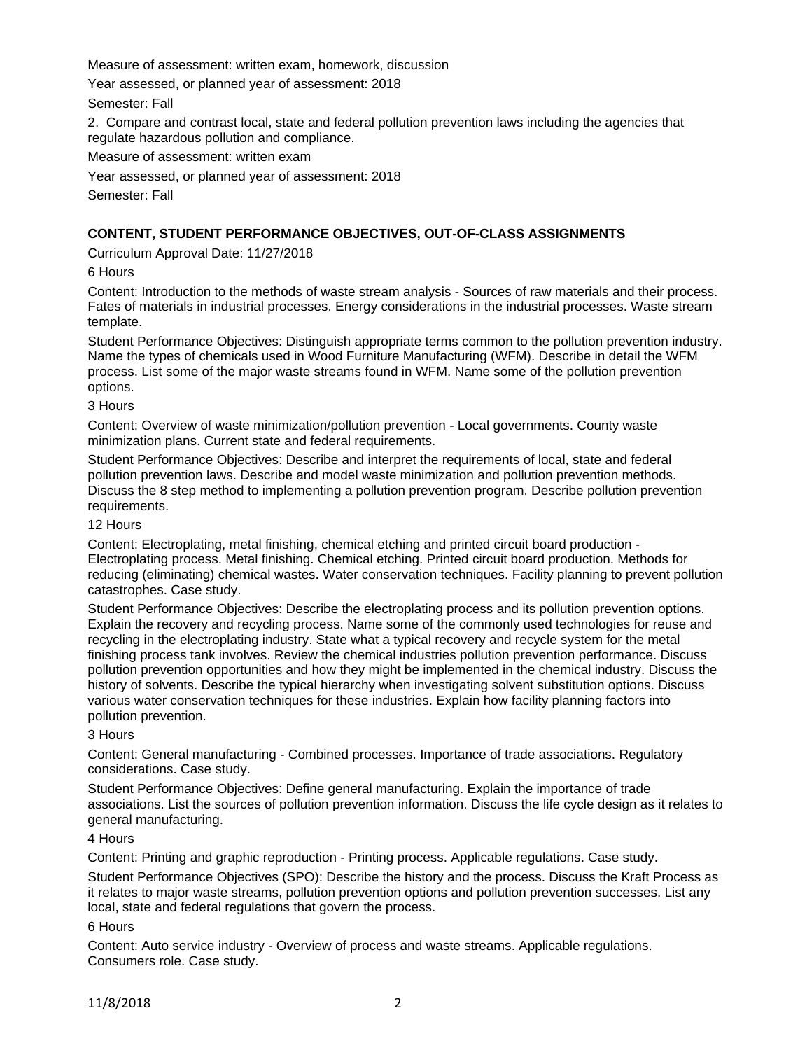Measure of assessment: written exam, homework, discussion

Year assessed, or planned year of assessment: 2018

Semester: Fall

2. Compare and contrast local, state and federal pollution prevention laws including the agencies that regulate hazardous pollution and compliance.

Measure of assessment: written exam

Year assessed, or planned year of assessment: 2018

Semester: Fall

# **CONTENT, STUDENT PERFORMANCE OBJECTIVES, OUT-OF-CLASS ASSIGNMENTS**

Curriculum Approval Date: 11/27/2018

6 Hours

Content: Introduction to the methods of waste stream analysis - Sources of raw materials and their process. Fates of materials in industrial processes. Energy considerations in the industrial processes. Waste stream template.

Student Performance Objectives: Distinguish appropriate terms common to the pollution prevention industry. Name the types of chemicals used in Wood Furniture Manufacturing (WFM). Describe in detail the WFM process. List some of the major waste streams found in WFM. Name some of the pollution prevention options.

## 3 Hours

Content: Overview of waste minimization/pollution prevention - Local governments. County waste minimization plans. Current state and federal requirements.

Student Performance Objectives: Describe and interpret the requirements of local, state and federal pollution prevention laws. Describe and model waste minimization and pollution prevention methods. Discuss the 8 step method to implementing a pollution prevention program. Describe pollution prevention requirements.

## 12 Hours

Content: Electroplating, metal finishing, chemical etching and printed circuit board production - Electroplating process. Metal finishing. Chemical etching. Printed circuit board production. Methods for reducing (eliminating) chemical wastes. Water conservation techniques. Facility planning to prevent pollution catastrophes. Case study.

Student Performance Objectives: Describe the electroplating process and its pollution prevention options. Explain the recovery and recycling process. Name some of the commonly used technologies for reuse and recycling in the electroplating industry. State what a typical recovery and recycle system for the metal finishing process tank involves. Review the chemical industries pollution prevention performance. Discuss pollution prevention opportunities and how they might be implemented in the chemical industry. Discuss the history of solvents. Describe the typical hierarchy when investigating solvent substitution options. Discuss various water conservation techniques for these industries. Explain how facility planning factors into pollution prevention.

#### 3 Hours

Content: General manufacturing - Combined processes. Importance of trade associations. Regulatory considerations. Case study.

Student Performance Objectives: Define general manufacturing. Explain the importance of trade associations. List the sources of pollution prevention information. Discuss the life cycle design as it relates to general manufacturing.

## 4 Hours

Content: Printing and graphic reproduction - Printing process. Applicable regulations. Case study.

Student Performance Objectives (SPO): Describe the history and the process. Discuss the Kraft Process as it relates to major waste streams, pollution prevention options and pollution prevention successes. List any local, state and federal regulations that govern the process.

#### 6 Hours

Content: Auto service industry - Overview of process and waste streams. Applicable regulations. Consumers role. Case study.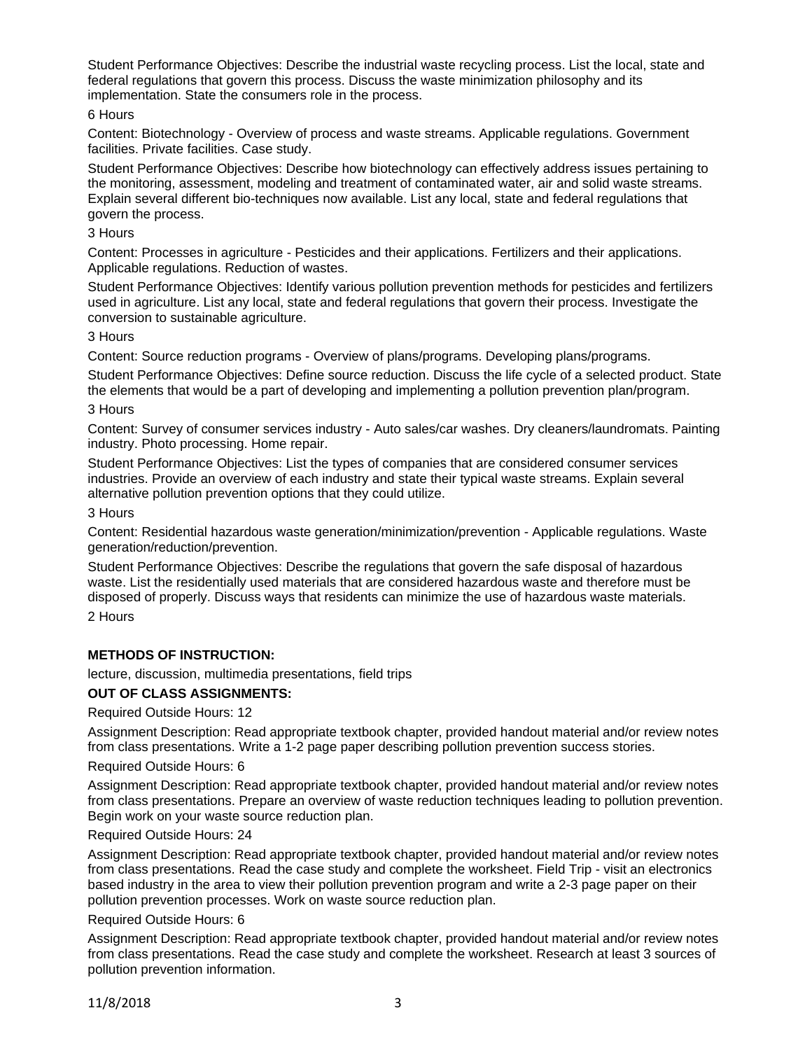Student Performance Objectives: Describe the industrial waste recycling process. List the local, state and federal regulations that govern this process. Discuss the waste minimization philosophy and its implementation. State the consumers role in the process.

## 6 Hours

Content: Biotechnology - Overview of process and waste streams. Applicable regulations. Government facilities. Private facilities. Case study.

Student Performance Objectives: Describe how biotechnology can effectively address issues pertaining to the monitoring, assessment, modeling and treatment of contaminated water, air and solid waste streams. Explain several different bio-techniques now available. List any local, state and federal regulations that govern the process.

#### 3 Hours

Content: Processes in agriculture - Pesticides and their applications. Fertilizers and their applications. Applicable regulations. Reduction of wastes.

Student Performance Objectives: Identify various pollution prevention methods for pesticides and fertilizers used in agriculture. List any local, state and federal regulations that govern their process. Investigate the conversion to sustainable agriculture.

## 3 Hours

Content: Source reduction programs - Overview of plans/programs. Developing plans/programs.

Student Performance Objectives: Define source reduction. Discuss the life cycle of a selected product. State the elements that would be a part of developing and implementing a pollution prevention plan/program.

## 3 Hours

Content: Survey of consumer services industry - Auto sales/car washes. Dry cleaners/laundromats. Painting industry. Photo processing. Home repair.

Student Performance Objectives: List the types of companies that are considered consumer services industries. Provide an overview of each industry and state their typical waste streams. Explain several alternative pollution prevention options that they could utilize.

## 3 Hours

Content: Residential hazardous waste generation/minimization/prevention - Applicable regulations. Waste generation/reduction/prevention.

Student Performance Objectives: Describe the regulations that govern the safe disposal of hazardous waste. List the residentially used materials that are considered hazardous waste and therefore must be disposed of properly. Discuss ways that residents can minimize the use of hazardous waste materials.

2 Hours

## **METHODS OF INSTRUCTION:**

lecture, discussion, multimedia presentations, field trips

## **OUT OF CLASS ASSIGNMENTS:**

Required Outside Hours: 12

Assignment Description: Read appropriate textbook chapter, provided handout material and/or review notes from class presentations. Write a 1-2 page paper describing pollution prevention success stories.

#### Required Outside Hours: 6

Assignment Description: Read appropriate textbook chapter, provided handout material and/or review notes from class presentations. Prepare an overview of waste reduction techniques leading to pollution prevention. Begin work on your waste source reduction plan.

#### Required Outside Hours: 24

Assignment Description: Read appropriate textbook chapter, provided handout material and/or review notes from class presentations. Read the case study and complete the worksheet. Field Trip - visit an electronics based industry in the area to view their pollution prevention program and write a 2-3 page paper on their pollution prevention processes. Work on waste source reduction plan.

#### Required Outside Hours: 6

Assignment Description: Read appropriate textbook chapter, provided handout material and/or review notes from class presentations. Read the case study and complete the worksheet. Research at least 3 sources of pollution prevention information.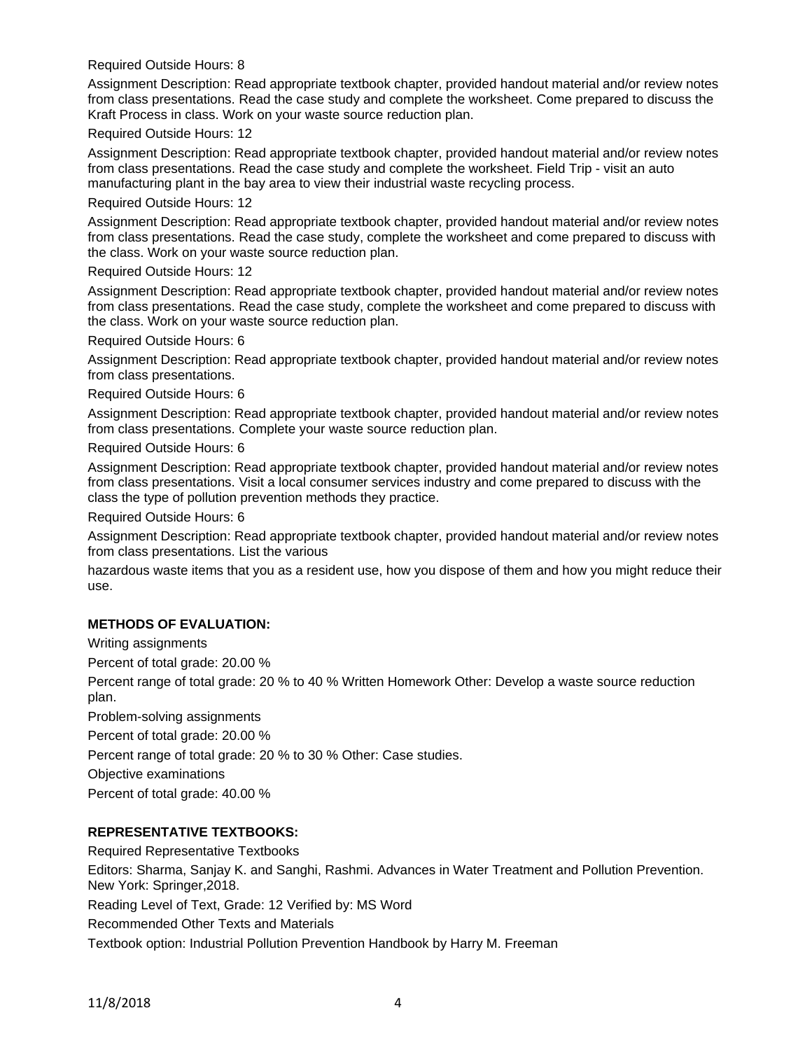Required Outside Hours: 8

Assignment Description: Read appropriate textbook chapter, provided handout material and/or review notes from class presentations. Read the case study and complete the worksheet. Come prepared to discuss the Kraft Process in class. Work on your waste source reduction plan.

Required Outside Hours: 12

Assignment Description: Read appropriate textbook chapter, provided handout material and/or review notes from class presentations. Read the case study and complete the worksheet. Field Trip - visit an auto manufacturing plant in the bay area to view their industrial waste recycling process.

#### Required Outside Hours: 12

Assignment Description: Read appropriate textbook chapter, provided handout material and/or review notes from class presentations. Read the case study, complete the worksheet and come prepared to discuss with the class. Work on your waste source reduction plan.

## Required Outside Hours: 12

Assignment Description: Read appropriate textbook chapter, provided handout material and/or review notes from class presentations. Read the case study, complete the worksheet and come prepared to discuss with the class. Work on your waste source reduction plan.

Required Outside Hours: 6

Assignment Description: Read appropriate textbook chapter, provided handout material and/or review notes from class presentations.

Required Outside Hours: 6

Assignment Description: Read appropriate textbook chapter, provided handout material and/or review notes from class presentations. Complete your waste source reduction plan.

Required Outside Hours: 6

Assignment Description: Read appropriate textbook chapter, provided handout material and/or review notes from class presentations. Visit a local consumer services industry and come prepared to discuss with the class the type of pollution prevention methods they practice.

Required Outside Hours: 6

Assignment Description: Read appropriate textbook chapter, provided handout material and/or review notes from class presentations. List the various

hazardous waste items that you as a resident use, how you dispose of them and how you might reduce their use.

# **METHODS OF EVALUATION:**

Writing assignments Percent of total grade: 20.00 %

Percent range of total grade: 20 % to 40 % Written Homework Other: Develop a waste source reduction plan.

Problem-solving assignments

Percent of total grade: 20.00 %

Percent range of total grade: 20 % to 30 % Other: Case studies.

Objective examinations

Percent of total grade: 40.00 %

# **REPRESENTATIVE TEXTBOOKS:**

Required Representative Textbooks

Editors: Sharma, Sanjay K. and Sanghi, Rashmi. Advances in Water Treatment and Pollution Prevention. New York: Springer,2018.

Reading Level of Text, Grade: 12 Verified by: MS Word

Recommended Other Texts and Materials

Textbook option: Industrial Pollution Prevention Handbook by Harry M. Freeman